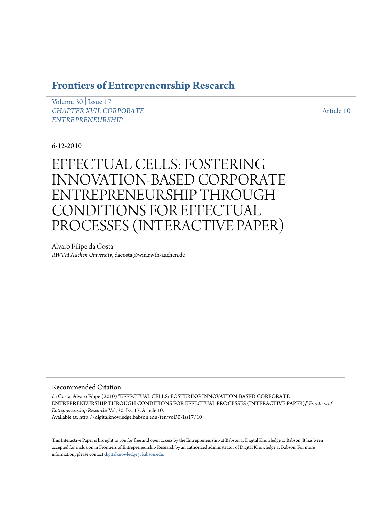# **[Frontiers of Entrepreneurship Research](http://digitalknowledge.babson.edu/fer)**

[Volume 30](http://digitalknowledge.babson.edu/fer/vol30) | [Issue 17](http://digitalknowledge.babson.edu/fer/vol30/iss17) *[CHAPTER XVII. CORPORATE](http://digitalknowledge.babson.edu/fer/vol30/iss17) [ENTREPRENEURSHIP](http://digitalknowledge.babson.edu/fer/vol30/iss17)*

[Article 10](http://digitalknowledge.babson.edu/fer/vol30/iss17/10)

6-12-2010

EFFECTUAL CELLS: FOSTERING INNOVATION-BASED CORPORATE ENTREPRENEURSHIP THROUGH CONDITIONS FOR EFFECTUAL PROCESSES (INTERACTIVE PAPER)

Alvaro Filipe da Costa *RWTH Aachen University*, dacosta@win.rwth-aachen.de

## Recommended Citation

da Costa, Alvaro Filipe (2010) "EFFECTUAL CELLS: FOSTERING INNOVATION-BASED CORPORATE ENTREPRENEURSHIP THROUGH CONDITIONS FOR EFFECTUAL PROCESSES (INTERACTIVE PAPER)," *Frontiers of Entrepreneurship Research*: Vol. 30: Iss. 17, Article 10. Available at: http://digitalknowledge.babson.edu/fer/vol30/iss17/10

This Interactive Paper is brought to you for free and open access by the Entrepreneurship at Babson at Digital Knowledge at Babson. It has been accepted for inclusion in Frontiers of Entrepreneurship Research by an authorized administrator of Digital Knowledge at Babson. For more information, please contact [digitalknowledge@babson.edu.](mailto:digitalknowledge@babson.edu)